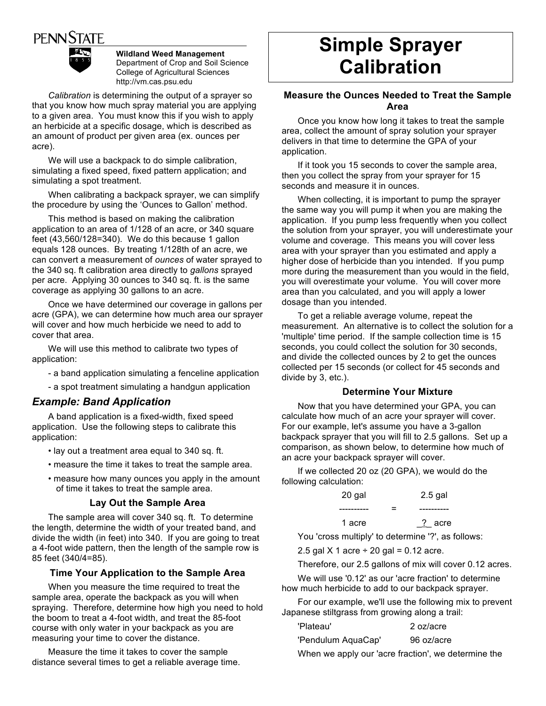# **PENN STATE**



**Wildland Weed Management** Department of Crop and Soil Science College of Agricultural Sciences http://vm.cas.psu.edu

*Calibration* is determining the output of a sprayer so that you know how much spray material you are applying to a given area. You must know this if you wish to apply an herbicide at a specific dosage, which is described as an amount of product per given area (ex. ounces per acre).

We will use a backpack to do simple calibration, simulating a fixed speed, fixed pattern application; and simulating a spot treatment.

When calibrating a backpack sprayer, we can simplify the procedure by using the 'Ounces to Gallon' method.

This method is based on making the calibration application to an area of 1/128 of an acre, or 340 square feet  $(43,560/128=340)$ . We do this because 1 gallon equals 128 ounces. By treating 1/128th of an acre, we can convert a measurement of *ounces* of water sprayed to the 340 sq. ft calibration area directly to *gallons* sprayed per acre. Applying 30 ounces to 340 sq. ft. is the same coverage as applying 30 gallons to an acre.

Once we have determined our coverage in gallons per acre (GPA), we can determine how much area our sprayer will cover and how much herbicide we need to add to cover that area.

We will use this method to calibrate two types of application:

- a band application simulating a fenceline application
- a spot treatment simulating a handgun application

## *Example: Band Application*

A band application is a fixed-width, fixed speed application. Use the following steps to calibrate this application:

- lay out a treatment area equal to 340 sq. ft.
- measure the time it takes to treat the sample area.
- measure how many ounces you apply in the amount of time it takes to treat the sample area.

### **Lay Out the Sample Area**

The sample area will cover 340 sq. ft. To determine the length, determine the width of your treated band, and divide the width (in feet) into 340. If you are going to treat a 4-foot wide pattern, then the length of the sample row is 85 feet (340/4=85).

### **Time Your Application to the Sample Area**

When you measure the time required to treat the sample area, operate the backpack as you will when spraying. Therefore, determine how high you need to hold the boom to treat a 4-foot width, and treat the 85-foot course with only water in your backpack as you are measuring your time to cover the distance.

Measure the time it takes to cover the sample distance several times to get a reliable average time.

# **Simple Sprayer Calibration**

### **Measure the Ounces Needed to Treat the Sample Area**

Once you know how long it takes to treat the sample area, collect the amount of spray solution your sprayer delivers in that time to determine the GPA of your application.

If it took you 15 seconds to cover the sample area, then you collect the spray from your sprayer for 15 seconds and measure it in ounces.

When collecting, it is important to pump the sprayer the same way you will pump it when you are making the application. If you pump less frequently when you collect the solution from your sprayer, you will underestimate your volume and coverage. This means you will cover less area with your sprayer than you estimated and apply a higher dose of herbicide than you intended. If you pump more during the measurement than you would in the field, you will overestimate your volume. You will cover more area than you calculated, and you will apply a lower dosage than you intended.

To get a reliable average volume, repeat the measurement. An alternative is to collect the solution for a 'multiple' time period. If the sample collection time is 15 seconds, you could collect the solution for 30 seconds, and divide the collected ounces by 2 to get the ounces collected per 15 seconds (or collect for 45 seconds and divide by 3, etc.).

### **Determine Your Mixture**

Now that you have determined your GPA, you can calculate how much of an acre your sprayer will cover. For our example, let's assume you have a 3-gallon backpack sprayer that you will fill to 2.5 gallons. Set up a comparison, as shown below, to determine how much of an acre your backpack sprayer will cover.

If we collected 20 oz (20 GPA), we would do the following calculation:

| 20 gal | $2.5$ gal |
|--------|-----------|
|        |           |
| 1 acre | ? acre    |

You 'cross multiply' to determine '?', as follows:

2.5 gal  $X$  1 acre  $\div$  20 gal = 0.12 acre.

Therefore, our 2.5 gallons of mix will cover 0.12 acres.

We will use '0.12' as our 'acre fraction' to determine how much herbicide to add to our backpack sprayer.

For our example, we'll use the following mix to prevent Japanese stiltgrass from growing along a trail:

| 'Plateau'          | 2 oz/acre  |
|--------------------|------------|
| 'Pendulum AquaCap' | 96 oz/acre |

When we apply our 'acre fraction', we determine the